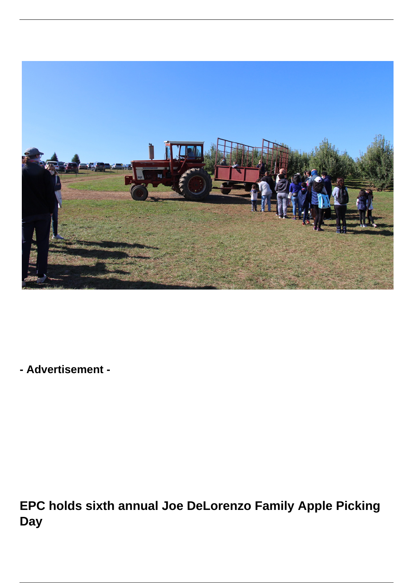

**- Advertisement -**

**EPC holds sixth annual Joe DeLorenzo Family Apple Picking Day**